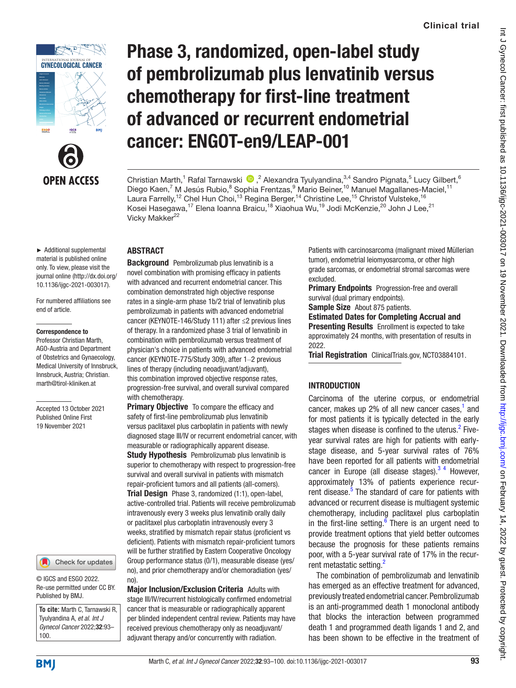



# Phase 3, randomized, open-label study of pembrolizumab plus lenvatinib versus chemotherapy for first-line treatment of advanced or recurrent endometrial cancer: ENGOT-en9/LEAP-001

Christian Marth,<sup>1</sup> Rafal Tarnawski (D, <sup>2</sup> Alexandra Tyulyandina, <sup>3,4</sup> Sandro Pignata, <sup>5</sup> Lucy Gilbert, <sup>6</sup> Diego Kaen,<sup>7</sup> M Jesús Rubio,<sup>8</sup> Sophia Frentzas,<sup>9</sup> Mario Beiner,<sup>10</sup> Manuel Magallanes-Maciel,<sup>11</sup> Laura Farrelly,<sup>12</sup> Chel Hun Choi,<sup>13</sup> Regina Berger,<sup>14</sup> Christine Lee,<sup>15</sup> Christof Vulsteke,<sup>16</sup> Kosei Hasegawa,17 Elena Ioanna Braicu,18 Xiaohua Wu,19 Jodi McKenzie,20 John J Lee,21 Vicky Makker<sup>22</sup>

#### ► Additional supplemental material is published online only. To view, please visit the journal online ([http://dx.doi.org/](http://dx.doi.org/10.1136/ijgc-2021-003017) [10.1136/ijgc-2021-003017\)](http://dx.doi.org/10.1136/ijgc-2021-003017).

For numbered affiliations see end of article.

#### Correspondence to

Professor Christian Marth, AGO-Austria and Department of Obstetrics and Gynaecology, Medical University of Innsbruck, Innsbruck, Austria; Christian. marth@tirol-kliniken.at

Accepted 13 October 2021 Published Online First 19 November 2021

#### Check for updates

© IGCS and ESGO 2022. Re-use permitted under CC BY. Published by BMJ.

**To cite:** Marth C, Tarnawski R, Tyulyandina A, *et al*. *Int J Gynecol Cancer* 2022;32:93– 100.

# ABSTRACT

**Background** Pembrolizumab plus lenvatinib is a novel combination with promising efficacy in patients with advanced and recurrent endometrial cancer. This combination demonstrated high objective response rates in a single-arm phase 1b/2 trial of lenvatinib plus pembrolizumab in patients with advanced endometrial cancer (KEYNOTE-146/Study 111) after ≤2 previous lines of therapy. In a randomized phase 3 trial of lenvatinib in combination with pembrolizumab versus treatment of physician's choice in patients with advanced endometrial cancer (KEYNOTE-775/Study 309), after 1-2 previous lines of therapy (including neoadjuvant/adjuvant), this combination improved objective response rates, progression-free survival, and overall survival compared with chemotherapy.

**Primary Objective** To compare the efficacy and safety of first-line pembrolizumab plus lenvatinib versus paclitaxel plus carboplatin in patients with newly diagnosed stage III/IV or recurrent endometrial cancer, with measurable or radiographically apparent disease. **Study Hypothesis** Pembrolizumab plus lenvatinib is superior to chemotherapy with respect to progression-free survival and overall survival in patients with mismatch repair-proficient tumors and all patients (all-comers). Trial Design Phase 3, randomized (1:1), open-label, active-controlled trial. Patients will receive pembrolizumab intravenously every 3 weeks plus lenvatinib orally daily or paclitaxel plus carboplatin intravenously every 3 weeks, stratified by mismatch repair status (proficient vs deficient). Patients with mismatch repair-proficient tumors will be further stratified by Eastern Cooperative Oncology Group performance status (0/1), measurable disease (yes/ no), and prior chemotherapy and/or chemoradiation (yes/ no)

Major Inclusion/Exclusion Criteria Adults with stage III/IV/recurrent histologically confirmed endometrial cancer that is measurable or radiographically apparent per blinded independent central review. Patients may have received previous chemotherapy only as neoadjuvant/ adjuvant therapy and/or concurrently with radiation.

Patients with carcinosarcoma (malignant mixed Müllerian tumor), endometrial leiomyosarcoma, or other high grade sarcomas, or endometrial stromal sarcomas were excluded.

**Primary Endpoints** Progression-free and overall survival (dual primary endpoints).

Sample Size About 875 patients.

Estimated Dates for Completing Accrual and Presenting Results Enrollment is expected to take approximately 24 months, with presentation of results in 2022.

Trial Registration ClinicalTrials.gov,<NCT03884101>.

# **INTRODUCTION**

Carcinoma of the uterine corpus, or endometrial cancer, makes up 2% of all new cancer cases, $<sup>1</sup>$  $<sup>1</sup>$  $<sup>1</sup>$  and</sup> for most patients it is typically detected in the early stages when disease is confined to the uterus.<sup>[2](#page-6-1)</sup> Fiveyear survival rates are high for patients with earlystage disease, and 5-year survival rates of 76% have been reported for all patients with endometrial cancer in Europe (all disease stages). $3<sup>4</sup>$  However, approximately 13% of patients experience recur-rent disease.<sup>[5](#page-6-3)</sup> The standard of care for patients with advanced or recurrent disease is multiagent systemic chemotherapy, including paclitaxel plus carboplatin in the first-line setting. $6$  There is an urgent need to provide treatment options that yield better outcomes because the prognosis for these patients remains poor, with a 5-year survival rate of 17% in the recur-rent metastatic setting.<sup>[2](#page-6-1)</sup>

The combination of pembrolizumab and lenvatinib has emerged as an effective treatment for advanced, previously treated endometrial cancer. Pembrolizumab is an anti-programmed death 1 monoclonal antibody that blocks the interaction between programmed death 1 and programmed death ligands 1 and 2, and has been shown to be effective in the treatment of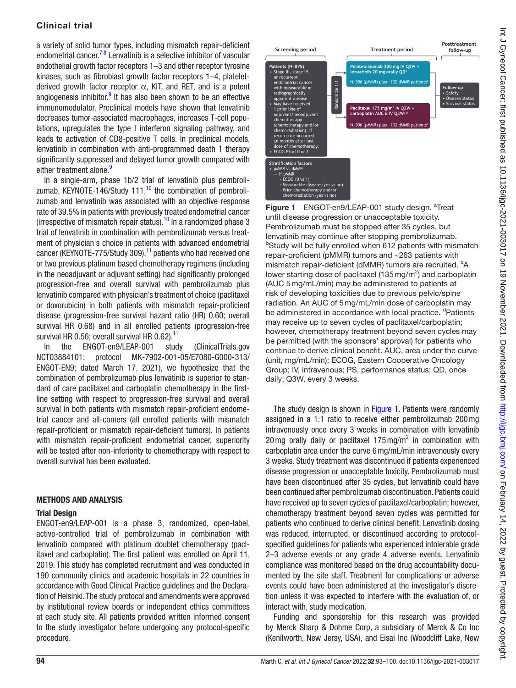a variety of solid tumor types, including mismatch repair-deficient endometrial cancer.<sup>78</sup> Lenvatinib is a selective inhibitor of vascular endothelial growth factor receptors 1–3 and other receptor tyrosine kinases, such as fibroblast growth factor receptors 1–4, plateletderived growth factor receptor  $\alpha$ , KIT, and RET, and is a potent angiogenesis inhibitor.<sup>9</sup> It has also been shown to be an effective immunomodulator. Preclinical models have shown that lenvatinib decreases tumor-associated macrophages, increases T-cell populations, upregulates the type I interferon signaling pathway, and leads to activation of CD8-positive T cells. In preclinical models, lenvatinib in combination with anti-programmed death 1 therapy significantly suppressed and delayed tumor growth compared with either treatment alone.<sup>9</sup>

In a single-arm, phase 1b/2 trial of lenvatinib plus pembrolizumab, KEYNOTE-146/Study  $111<sup>10</sup>$  $111<sup>10</sup>$  $111<sup>10</sup>$  the combination of pembrolizumab and lenvatinib was associated with an objective response rate of 39.5% in patients with previously treated endometrial cancer (irrespective of mismatch repair status).<sup>[10](#page-6-7)</sup> In a randomized phase 3 trial of lenvatinib in combination with pembrolizumab versus treatment of physician's choice in patients with advanced endometrial cancer (KEYNOTE-775/Study 309), $<sup>11</sup>$  $<sup>11</sup>$  $<sup>11</sup>$  patients who had received one</sup> or two previous platinum based chemotherapy regimens (including in the neoadjuvant or adjuvant setting) had significantly prolonged progression-free and overall survival with pembrolizumab plus lenvatinib compared with physician's treatment of choice (paclitaxel or doxorubicin) in both patients with mismatch repair-proficient disease (progression-free survival hazard ratio (HR) 0.60; overall survival HR 0.68) and in all enrolled patients (progression-free survival HR 0.56; overall survival HR 0.62).<sup>[11](#page-6-8)</sup>

In the ENGOT-en9/LEAP-001 study (ClinicalTrials.gov NCT03884101; protocol MK-7902-001-05/E7080-G000-313/ ENGOT-EN9; dated March 17, 2021), we hypothesize that the combination of pembrolizumab plus lenvatinib is superior to standard of care paclitaxel and carboplatin chemotherapy in the firstline setting with respect to progression-free survival and overall survival in both patients with mismatch repair-proficient endometrial cancer and all-comers (all enrolled patients with mismatch repair-proficient or mismatch repair-deficient tumors). In patients with mismatch repair-proficient endometrial cancer, superiority will be tested after non-inferiority to chemotherapy with respect to overall survival has been evaluated.

## METHODS AND ANALYSIS

## Trial Design

ENGOT-en9/LEAP-001 is a phase 3, randomized, open-label, active-controlled trial of pembrolizumab in combination with lenvatinib compared with platinum doublet chemotherapy (paclitaxel and carboplatin). The first patient was enrolled on April 11, 2019. This study has completed recruitment and was conducted in 190 community clinics and academic hospitals in 22 countries in accordance with Good Clinical Practice guidelines and the Declaration of Helsinki. The study protocol and amendments were approved by institutional review boards or independent ethics committees at each study site. All patients provided written informed consent to the study investigator before undergoing any protocol-specific procedure.



<span id="page-1-0"></span>Figure 1 ENGOT-en9/LEAP-001 study design. <sup>a</sup>Treat until disease progression or unacceptable toxicity. Pembrolizumab must be stopped after 35 cycles, but lenvatinib may continue after stopping pembrolizumab. <sup>b</sup>Study will be fully enrolled when 612 patients with mismatch repair-proficient (pMMR) tumors and ~263 patients with mismatch repair-deficient (dMMR) tumors are recruited. <sup>c</sup>A lower starting dose of paclitaxel  $(135 \,\text{mg/m}^2)$  and carboplatin (AUC 5mg/mL/min) may be administered to patients at risk of developing toxicities due to previous pelvic/spine radiation. An AUC of 5mg/mL/min dose of carboplatin may be administered in accordance with local practice. <sup>d</sup>Patients may receive up to seven cycles of paclitaxel/carboplatin; however, chemotherapy treatment beyond seven cycles may be permitted (with the sponsors' approval) for patients who continue to derive clinical benefit. AUC, area under the curve (unit, mg/mL/min); ECOG, Eastern Cooperative Oncology Group; IV, intravenous; PS, performance status; QD, once daily; Q3W, every 3 weeks.

The study design is shown in [Figure 1.](#page-1-0) Patients were randomly assigned in a 1:1 ratio to receive either pembrolizumab 200mg intravenously once every 3 weeks in combination with lenvatinib 20 mg orally daily or paclitaxel  $175 \,\text{mg/m}^2$  in combination with carboplatin area under the curve 6mg/mL/min intravenously every 3 weeks. Study treatment was discontinued if patients experienced disease progression or unacceptable toxicity. Pembrolizumab must have been discontinued after 35 cycles, but lenvatinib could have been continued after pembrolizumab discontinuation. Patients could have received up to seven cycles of paclitaxel/carboplatin; however, chemotherapy treatment beyond seven cycles was permitted for patients who continued to derive clinical benefit. Lenvatinib dosing was reduced, interrupted, or discontinued according to protocolspecified guidelines for patients who experienced intolerable grade 2–3 adverse events or any grade 4 adverse events. Lenvatinib compliance was monitored based on the drug accountability documented by the site staff. Treatment for complications or adverse events could have been administered at the investigator's discretion unless it was expected to interfere with the evaluation of, or interact with, study medication.

Funding and sponsorship for this research was provided by Merck Sharp & Dohme Corp, a subsidiary of Merck & Co Inc (Kenilworth, New Jersy, USA), and Eisai Inc (Woodcliff Lake, New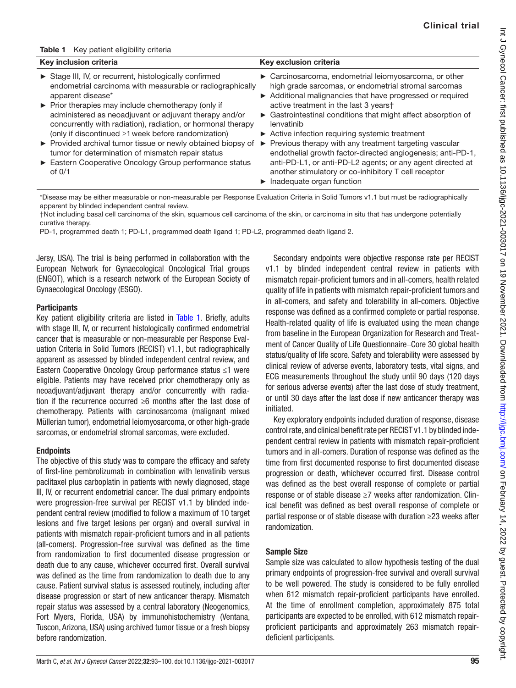<span id="page-2-0"></span>

| Key patient eligibility criteria<br>Table 1                                                                                                                                                                                                                                                                                                                                                                                                                                                                                                                                                    |                                                                                                                                                                                                                                                                                                                                                                                                                                                                                                                                                                                                                                                                                  |
|------------------------------------------------------------------------------------------------------------------------------------------------------------------------------------------------------------------------------------------------------------------------------------------------------------------------------------------------------------------------------------------------------------------------------------------------------------------------------------------------------------------------------------------------------------------------------------------------|----------------------------------------------------------------------------------------------------------------------------------------------------------------------------------------------------------------------------------------------------------------------------------------------------------------------------------------------------------------------------------------------------------------------------------------------------------------------------------------------------------------------------------------------------------------------------------------------------------------------------------------------------------------------------------|
| Key inclusion criteria                                                                                                                                                                                                                                                                                                                                                                                                                                                                                                                                                                         | Key exclusion criteria                                                                                                                                                                                                                                                                                                                                                                                                                                                                                                                                                                                                                                                           |
| Stage III, IV, or recurrent, histologically confirmed<br>endometrial carcinoma with measurable or radiographically<br>apparent disease*<br>$\triangleright$ Prior therapies may include chemotherapy (only if<br>administered as neoadjuvant or adjuvant therapy and/or<br>concurrently with radiation), radiation, or hormonal therapy<br>(only if discontinued $\geq 1$ week before randomization)<br>▶ Provided archival tumor tissue or newly obtained biopsy of<br>tumor for determination of mismatch repair status<br>Eastern Cooperative Oncology Group performance status<br>of $0/1$ | ► Carcinosarcoma, endometrial leiomyosarcoma, or other<br>high grade sarcomas, or endometrial stromal sarcomas<br>Additional malignancies that have progressed or required<br>active treatment in the last 3 yearst<br>• Gastrointestinal conditions that might affect absorption of<br>lenvatinib<br>► Active infection requiring systemic treatment<br>Previous therapy with any treatment targeting vascular<br>$\blacktriangleright$<br>endothelial growth factor-directed angiogenesis; anti-PD-1,<br>anti-PD-L1, or anti-PD-L2 agents; or any agent directed at<br>another stimulatory or co-inhibitory T cell receptor<br>$\blacktriangleright$ Inadequate organ function |

\*Disease may be either measurable or non-measurable per Response Evaluation Criteria in Solid Tumors v1.1 but must be radiographically apparent by blinded independent central review.

†Not including basal cell carcinoma of the skin, squamous cell carcinoma of the skin, or carcinoma in situ that has undergone potentially curative therapy.

PD-1, programmed death 1; PD-L1, programmed death ligand 1; PD-L2, programmed death ligand 2.

Jersy, USA). The trial is being performed in collaboration with the European Network for Gynaecological Oncological Trial groups (ENGOT), which is a research network of the European Society of Gynaecological Oncology (ESGO).

#### **Participants**

Key patient eligibility criteria are listed in Table 1. Briefly, adults with stage III, IV, or recurrent histologically confirmed endometrial cancer that is measurable or non-measurable per Response Evaluation Criteria in Solid Tumors (RECIST) v1.1, but radiographically apparent as assessed by blinded independent central review, and Eastern Cooperative Oncology Group performance status ≤1 were eligible. Patients may have received prior chemotherapy only as neoadjuvant/adjuvant therapy and/or concurrently with radiation if the recurrence occurred  $\geq 6$  months after the last dose of chemotherapy. Patients with carcinosarcoma (malignant mixed Müllerian tumor), endometrial leiomyosarcoma, or other high-grade sarcomas, or endometrial stromal sarcomas, were excluded.

## **Endpoints**

The objective of this study was to compare the efficacy and safety of first-line pembrolizumab in combination with lenvatinib versus paclitaxel plus carboplatin in patients with newly diagnosed, stage III, IV, or recurrent endometrial cancer. The dual primary endpoints were progression-free survival per RECIST v1.1 by blinded independent central review (modified to follow a maximum of 10 target lesions and five target lesions per organ) and overall survival in patients with mismatch repair-proficient tumors and in all patients (all-comers). Progression-free survival was defined as the time from randomization to first documented disease progression or death due to any cause, whichever occurred first. Overall survival was defined as the time from randomization to death due to any cause. Patient survival status is assessed routinely, including after disease progression or start of new anticancer therapy. Mismatch repair status was assessed by a central laboratory (Neogenomics, Fort Myers, Florida, USA) by immunohistochemistry (Ventana, Tuscon, Arizona, USA) using archived tumor tissue or a fresh biopsy before randomization.

Secondary endpoints were objective response rate per RECIST v1.1 by blinded independent central review in patients with mismatch repair-proficient tumors and in all-comers, health related quality of life in patients with mismatch repair-proficient tumors and in all-comers, and safety and tolerability in all-comers. Objective response was defined as a confirmed complete or partial response. Health-related quality of life is evaluated using the mean change from baseline in the European Organization for Research and Treatment of Cancer Quality of Life Questionnaire–Core 30 global health status/quality of life score. Safety and tolerability were assessed by clinical review of adverse events, laboratory tests, vital signs, and ECG measurements throughout the study until 90 days (120 days for serious adverse events) after the last dose of study treatment, or until 30 days after the last dose if new anticancer therapy was initiated.

Key exploratory endpoints included duration of response, disease control rate, and clinical benefit rate per RECIST v1.1 by blinded independent central review in patients with mismatch repair-proficient tumors and in all-comers. Duration of response was defined as the time from first documented response to first documented disease progression or death, whichever occurred first. Disease control was defined as the best overall response of complete or partial response or of stable disease ≥7 weeks after randomization. Clinical benefit was defined as best overall response of complete or partial response or of stable disease with duration ≥23 weeks after randomization.

## Sample Size

Sample size was calculated to allow hypothesis testing of the dual primary endpoints of progression-free survival and overall survival to be well powered. The study is considered to be fully enrolled when 612 mismatch repair-proficient participants have enrolled. At the time of enrollment completion, approximately 875 total participants are expected to be enrolled, with 612 mismatch repairproficient participants and approximately 263 mismatch repairdeficient participants.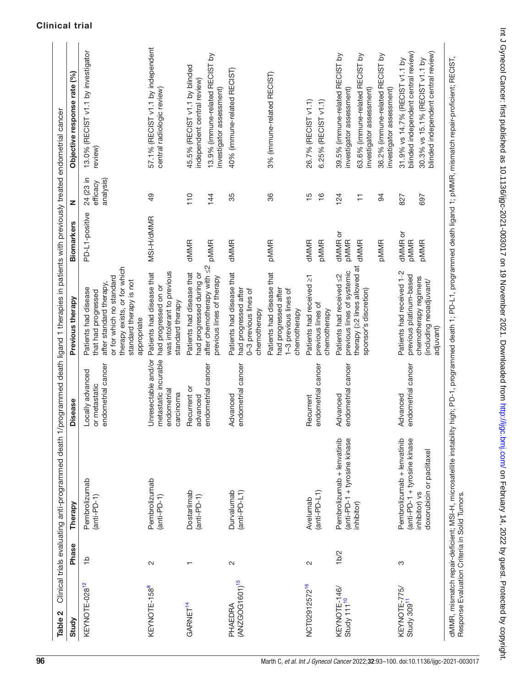<span id="page-3-0"></span>

| Table 2                                       |                   | Clinical trials evaluating anti-programmed death 1/                                                      |                                                                         | programmed death ligand 1 therapies in patients with previously treated endometrial cancer                                                                                   |                                                      |                                    |                                                                                                                                                                            |
|-----------------------------------------------|-------------------|----------------------------------------------------------------------------------------------------------|-------------------------------------------------------------------------|------------------------------------------------------------------------------------------------------------------------------------------------------------------------------|------------------------------------------------------|------------------------------------|----------------------------------------------------------------------------------------------------------------------------------------------------------------------------|
| Study                                         | Phase             | Therapy                                                                                                  | <b>Disease</b>                                                          | Previous therapy                                                                                                                                                             | <b>Biomarkers</b>                                    | z                                  | Objective response rate (%)                                                                                                                                                |
| KEYNOTE-028 <sup>12</sup>                     | $\frac{1}{2}$     | Pembrolizumab<br>$(anti-PD-1)$                                                                           | endometrial cancer<br>Locally advanced<br>or metastatic                 | therapy exists, or for which<br>or for which no standard<br>standard therapy is not<br>after standard therapy,<br>Patients had disease<br>that had progressed<br>appropriate | PD-L1-positive                                       | 24 (23 in<br>analysis)<br>efficacy | 13.0% (RECIST v1.1 by investigator<br>review)                                                                                                                              |
| KEYNOTE-158 <sup>8</sup>                      | $\mathbf{\Omega}$ | Pembrolizumab<br>$(anti-PD-1)$                                                                           | Unresectable and/or<br>metastatic incurable<br>endometrial<br>carcinoma | Patients had disease that<br>was intolerant to previous<br>had progressed on or<br>standard therapy                                                                          | MSI-H/dMMR                                           | 49                                 | 57.1% (RECIST v1.1 by independent<br>central radiologic review)                                                                                                            |
| GARNET <sup>14</sup>                          |                   | Dostarlimab<br>$(anti-PD-1)$                                                                             | endometrial cancer<br>Recurrent or<br>advanced                          | after chemotherapy with $\leq$ 2<br>Patients had disease that<br>had progressed during or<br>previous lines of therapy                                                       | dMMR<br><b>PMMR</b>                                  | 110<br>144                         | 13.9% (immune-related RECIST by<br>45.5% (RECIST v1.1 by blinded<br>independent central review)<br>investigator assessment)                                                |
| (ANZGOG1601) <sup>15</sup><br>PHAEDRA         | $\sim$            | Durvalumab<br>$(anti-PD-L1)$                                                                             | endometrial cancer<br>Advanced                                          | Patients had disease that<br>had progressed after<br>0-3 previous lines of<br>chemotherapy                                                                                   | dMMR                                                 | 35                                 | 40% (immune-related RECIST)                                                                                                                                                |
|                                               |                   |                                                                                                          |                                                                         | Patients had disease that<br>had progressed after<br>1-3 previous lines of<br>chemotherapy                                                                                   | <b>PMMR</b>                                          | 36                                 | 3% (immune-related RECIST)                                                                                                                                                 |
| NCT02912572 <sup>16</sup>                     | $\mathbf{\Omega}$ | $(anti-PD-L1)$<br>Avelumab                                                                               | endometrial cancer<br>Recurrent                                         | Patients had received $\geq$ 1<br>previous lines of<br>chemotherapy                                                                                                          | <b>pMMR</b><br><b>dMMR</b>                           | $\frac{5}{1}$<br>$\frac{6}{1}$     | 26.7% (RECIST v1.1)<br>6.25% (RECIST v1.1)                                                                                                                                 |
| KEYNOTE-146/<br>Study 111 <sup>10</sup>       | 1 <sub>b</sub> /2 | Pembrolizumab + lenvatinib<br>(anti-PD-1 + tyrosine kinase<br>inhibitor)                                 | endometrial cancer<br>Advanced                                          | therapy (22 lines allowed at<br>previous lines of systemic<br>Patients had received <2<br>sponsor's discretion)                                                              | dMMR or<br><b>PMMR</b><br><b>PMMR</b><br><b>dMMR</b> | 94<br>124<br>₣                     | 39.5% (immune-related RECIST by<br>36.2% (immune-related RECIST by<br>63.6% (immune-related RECIST by<br>investigator assessment)<br>investigator assessment)              |
| KEYNOTE-775/<br>Study 309 <sup>11</sup>       | ო                 | Pembrolizumab + lenvatinib<br>(anti-PD-1 + tyrosine kinase<br>doxorubicin or paclitaxel<br>inhibitor) vs | endometrial cancer<br>Advanced                                          | Patients had received 1-2<br>previous platinum-based<br>chemotherapy regimens<br>(including neoadjuvant/<br>adjuvant)                                                        | dMMR or<br><b>PMMR</b><br><b>PMMR</b>                | 827<br>697                         | blinded independent central review)<br>blinded independent central review)<br>31.9% vs 14.7% (RECIST v1.1 by<br>30.3% vs 15.1% (RECIST v1.1 by<br>investigator assessment) |
| Response Evaluation Criteria in Solid Tumors. |                   | dMMR, mismatch repair-deficient; MSI-H, microsatellite instability                                       |                                                                         |                                                                                                                                                                              |                                                      |                                    | high; PD-1, programmed death 1; PD-L1, programmed death ligand 1; pMMR, mismatch repair-proficient; RECIST,                                                                |

Int J Gynecol Cancer: first published as 10.1136/ijgc-2021-003017 on 19 November 2021. Downloaded from http://ijgc.bmj.com/ on February 14, 2022 by guest. Protected by copyright. Int J Gynecol Cancer: first published as 10.1136/ijgc-2021-003017 on 19 November 2021. Downloaded from <http://ijgc.bmj.com/> on February 14, 2022 by guest. Protected by copyright.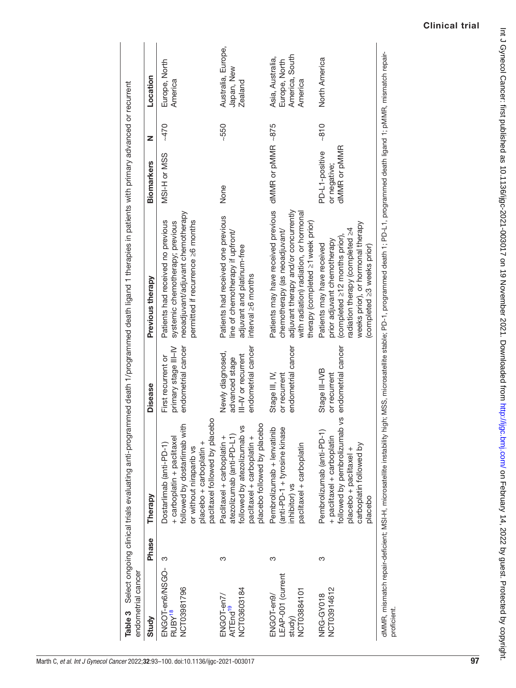<span id="page-4-0"></span>

| endometrial cancer                                       |       |                                                                                                                                                                               |                                                                                 | Table 3 Select ongoing clinical trials evaluating anti-programmed death 1/programmed death ligand 1 therapies in patients with primary advanced or recurrent                                                 |                                                |        |                                                                |
|----------------------------------------------------------|-------|-------------------------------------------------------------------------------------------------------------------------------------------------------------------------------|---------------------------------------------------------------------------------|--------------------------------------------------------------------------------------------------------------------------------------------------------------------------------------------------------------|------------------------------------------------|--------|----------------------------------------------------------------|
| Study                                                    | Phase | Therapy                                                                                                                                                                       | <b>Disease</b>                                                                  | Previous therapy                                                                                                                                                                                             | <b>Biomarkers</b>                              | Z      | Location                                                       |
| ENGOT-en6/NSGO-<br>NCT03981796<br>RUBY <sup>18</sup>     | က     | paclitaxel followed by placebo<br>followed by dostarlimab with<br>+ carboplatin + paclitaxel<br>Dostarlimab (anti-PD-1)<br>placebo + carboplatin +<br>or without niraparib vs | endometrial cancer<br>primary stage III-IV<br>First recurrent or                | neoadjuvant/adjuvant chemotherapy<br>permitted if recurrence ≥6 months<br>Patients had received no previous<br>systemic chemotherapy; previous                                                               | MSI-H or MSS                                   | $-470$ | Europe, North<br>America                                       |
| NCT03603184<br>ENGOT-en7/<br>AtTEnd <sup>19</sup>        | က     | placebo followed by placebo<br>Š<br>atezolizumab (anti-PD-L1)<br>followed by atezolizumab<br>paclitaxel + carboplatin +<br>Paclitaxel + carboplatin +                         | endometrial cancer<br>Newly diagnosed,<br>III-IV or recurrent<br>advanced stage | Patients had received one previous<br>line of chemotherapy if upfront/<br>adjuvant and platinum-free<br>interval $\geq 6$ months                                                                             | None                                           | $-550$ | Australia, Europe,<br>Japan, New<br><b>Zealand</b>             |
| LEAP-001 (current<br>NCT03884101<br>ENGOT-en9/<br>study) | ო     | Pembrolizumab + lenvatinib<br>(anti-PD-1 + tyrosine kinase<br>paclitaxel + carboplatin<br>inhibitor) vs                                                                       | endometrial cancer<br>Stage III, IV,<br>or recurrent                            | Patients may have received previous<br>adjuvant therapy and/or concurrently<br>with radiation) radiation, or hormonal<br>therapy (completed ≥1 week prior)<br>chemotherapy (as neoadjuvant/                  | dMMR or pMMR ~875                              |        | America, South<br>Asia, Australia,<br>Europe, North<br>America |
| NCT03914612<br>NRG-GY018                                 | က     | followed by pembrolizumab vs<br>Pembrolizumab (anti-PD-1)<br>+ paclitaxel + carboplatin<br>carboplatin followed by<br>placebo + paclitaxel +<br>placebo                       | endometrial cancer<br>Stage III-IVB<br>or recurrent                             | weeks prior), or hormonal therapy<br>radiation therapy (completed $\geq 4$<br>(completed $\geq$ 12 months prior),<br>prior adjuvant chemotherapy<br>Patients may have received<br>(completed ≥3 weeks prior) | dMMR or pMMR<br>PD-L1-positive<br>or negative; | $-810$ | North America                                                  |
| proficient.                                              |       | dMMR, mismatch repair-deficient; MSI-H, microsatellite instability                                                                                                            |                                                                                 | high; MSS, microsatellite stable; PD-1, programmed death 1; PD-L1, programmed death ligand 1; pMMR, mismatch repair-                                                                                         |                                                |        |                                                                |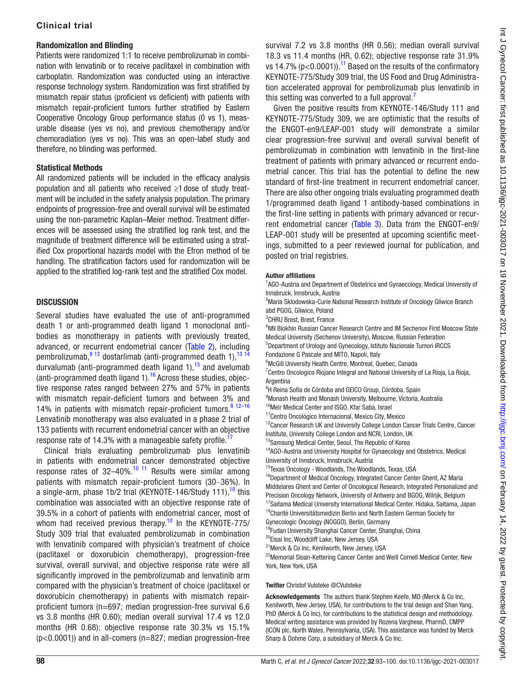#### Randomization and Blinding

Patients were randomized 1:1 to receive pembrolizumab in combination with lenvatinib or to receive paclitaxel in combination with carboplatin. Randomization was conducted using an interactive response technology system. Randomization was first stratified by mismatch repair status (proficient vs deficient) with patients with mismatch repair-proficient tumors further stratified by Eastern Cooperative Oncology Group performance status (0 vs 1), measurable disease (yes vs no), and previous chemotherapy and/or chemoradiation (yes vs no). This was an open-label study and therefore, no blinding was performed.

#### Statistical Methods

All randomized patients will be included in the efficacy analysis population and all patients who received ≥1 dose of study treatment will be included in the safety analysis population. The primary endpoints of progression-free and overall survival will be estimated using the non-parametric Kaplan–Meier method. Treatment differences will be assessed using the stratified log rank test, and the magnitude of treatment difference will be estimated using a stratified Cox proportional hazards model with the Efron method of tie handling. The stratification factors used for randomization will be applied to the stratified log-rank test and the stratified Cox model.

## **DISCUSSION**

Several studies have evaluated the use of anti-programmed death 1 or anti-programmed death ligand 1 monoclonal antibodies as monotherapy in patients with previously treated, advanced, or recurrent endometrial cancer [\(Table 2](#page-3-0)), including pembrolizumab,  $8^{12}$  dostarlimab (anti-programmed death 1),  $13^{14}$ durvalumab (anti-programmed death ligand 1),  $15$  and avelumab (anti-programmed death ligand  $1$ ).<sup>16</sup> Across these studies, objective response rates ranged between 27% and 57% in patients with mismatch repair-deficient tumors and between 3% and 14% in patients with mismatch repair-proficient tumors. $8^{12-16}$ Lenvatinib monotherapy was also evaluated in a phase 2 trial of 133 patients with recurrent endometrial cancer with an objective response rate of 14.3% with a manageable safety profile.<sup>[17](#page-7-4)</sup>

Clinical trials evaluating pembrolizumab plus lenvatinib in patients with endometrial cancer demonstrated objective response rates of  $32-40\%$ .<sup>10 11</sup> Results were similar among patients with mismatch repair-proficient tumors (30–36%). In a single-arm, phase 1b/2 trial (KEYNOTE-146/Study 111),  $10$  this combination was associated with an objective response rate of 39.5% in a cohort of patients with endometrial cancer, most of whom had received previous therapy.<sup>[10](#page-6-7)</sup> In the KEYNOTE-775/ Study 309 trial that evaluated pembrolizumab in combination with lenvatinib compared with physician's treatment of choice (paclitaxel or doxorubicin chemotherapy), progression-free survival, overall survival, and objective response rate were all significantly improved in the pembrolizumab and lenvatinib arm compared with the physician's treatment of choice (paclitaxel or doxorubicin chemotherapy) in patients with mismatch repairproficient tumors (n=697; median progression-free survival 6.6 vs 3.8 months (HR 0.60); median overall survival 17.4 vs 12.0 months (HR 0.68); objective response rate 30.3% vs 15.1% (p<0.0001)) and in all-comers (n=827; median progression-free

survival 7.2 vs 3.8 months (HR 0.56); median overall survival 18.3 vs 11.4 months (HR, 0.62); objective response rate 31.9% vs 14.7% ( $p < 0.0001$ )).<sup>11</sup> Based on the results of the confirmatory KEYNOTE-775/Study 309 trial, the US Food and Drug Administration accelerated approval for pembrolizumab plus lenvatinib in this setting was converted to a full approval.

Given the positive results from KEYNOTE-146/Study 111 and KEYNOTE-775/Study 309, we are optimistic that the results of the ENGOT-en9/LEAP-001 study will demonstrate a similar clear progression-free survival and overall survival benefit of pembrolizumab in combination with lenvatinib in the first-line treatment of patients with primary advanced or recurrent endometrial cancer. This trial has the potential to define the new standard of first-line treatment in recurrent endometrial cancer. There are also other ongoing trials evaluating programmed death 1/programmed death ligand 1 antibody-based combinations in the first-line setting in patients with primary advanced or recurrent endometrial cancer (Table 3). Data from the ENGOT-en9/ LEAP-001 study will be presented at upcoming scientific meetings, submitted to a peer reviewed journal for publication, and posted on trial registries.

#### Author affiliations

<sup>1</sup>AGO-Austria and Department of Obstetrics and Gynaecology, Medical University of Innsbruck, Innsbruck, Austria

<sup>2</sup> Maria Sklodowska-Curie National Research Institute of Oncology Gliwice Branch abd PGOG, Gliwice, Poland

3 CHRU Brest, Brest, France

4 NN Blokhin Russian Cancer Research Centre and IM Sechenov First Moscow State Medical University (Sechenov University), Moscow, Russian Federation 5 Department of Urology and Gynecology, Istituto Nazionale Tumori IRCCS Fondazione G Pascale and MITO, Napoli, Italy 6 McGill University Health Centre, Montreal, Quebec, Canada

<sup>7</sup> Centro Oncologico Riojano Integral and National University of La Rioja, La Rioja, **Argentina** 

<sup>8</sup>H Reina Sofía de Córdoba and GEICO Group, Córdoba, Spain

9 Monash Health and Monash University, Melbourne, Victoria, Australia

<sup>10</sup>Meir Medical Center and ISGO, Kfar Saba, Israel

<sup>11</sup>Centro Oncológico Internacional, Mexico City, Mexico

<sup>12</sup>Cancer Research UK and University College London Cancer Trials Centre, Cancer Institute, University College London and NCRI, London, UK

<sup>13</sup>Samsung Medical Center, Seoul, The Republic of Korea

<sup>14</sup>AGO-Austria and University Hospital for Gynaecology and Obstetrics, Medical University of Innsbruck, Innsbruck, Austria

<sup>15</sup>Texas Oncology - Woodlands, The Woodlands, Texas, USA <sup>16</sup>Department of Medical Oncology, Integrated Cancer Center Ghent, AZ Maria

Middelares Ghent and Center of Oncological Research, Integrated Personalized and Precision Oncology Network, University of Antwerp and BGOG, Wilrijk, Belgium

<sup>17</sup>Saitama Medical University International Medical Center, Hidaka, Saitama, Japan

<sup>18</sup>Charité Universitätsmedizin Berlin and North Eastern German Society for

Gynecologic Oncology (NOGGO), Berlin, Germany <sup>19</sup>Fudan University Shanghai Cancer Center, Shanghai, China

<sup>20</sup>Eisai Inc, Woodcliff Lake, New Jersey, USA

<sup>21</sup> Merck & Co Inc, Kenilworth, New Jersey, USA

<sup>22</sup>Memorial Sloan-Kettering Cancer Center and Weill Cornell Medical Center, New York, New York, USA

#### Twitter Christof Vulsteke [@CVulsteke](https://twitter.com/CVulsteke)

Acknowledgements The authors thank Stephen Keefe, MD (Merck & Co Inc, Kenilworth, New Jersey, USA), for contributions to the trial design and Shan Yang, PhD (Merck & Co Inc), for contributions to the statistical design and methodology. Medical writing assistance was provided by Rozena Varghese, PharmD, CMPP (ICON plc, North Wales, Pennsylvania, USA). This assistance was funded by Merck Sharp & Dohme Corp, a subsidiary of Merck & Co Inc.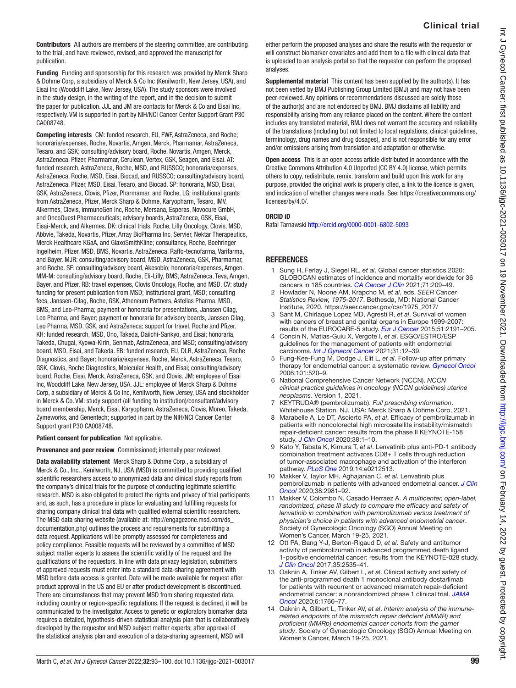Contributors All authors are members of the steering committee, are contributing to the trial, and have reviewed, revised, and approved the manuscript for publication.

Funding Funding and sponsorship for this research was provided by Merck Sharp & Dohme Corp, a subsidiary of Merck & Co Inc (Kenilworth, New Jersey, USA), and Eisai Inc (Woodcliff Lake, New Jersey, USA). The study sponsors were involved in the study design, in the writing of the report, and in the decision to submit the paper for publication. JJL and JM are contacts for Merck & Co and Eisai Inc, respectively. VM is supported in part by NIH/NCI Cancer Center Support Grant P30 CA008748.

Competing interests CM: funded research, EU, FWF, AstraZeneca, and Roche; honoraria/expenses, Roche, Novartis, Amgen, Merck, Pharmamar, AstraZeneca, Tesaro, and GSK; consulting/advisory board, Roche, Novartis, Amgen, Merck, AstraZeneca, Pfizer, Pharmamar, Cerulean, Vertex, GSK, Seagen, and Eisai. AT: funded research, AstraZeneca, Roche, MSD, and RUSSCO; honoraria/expenses, AstraZeneca, Roche, MSD, Eisai, Biocad, and RUSSCO; consulting/advisory board, AstraZeneca, Pfizer, MSD, Eisai, Tesaro, and Biocad. SP: honoraria, MSD, Eisai, GSK, AstraZeneca, Clovis, Pfizer, Pharmamar, and Roche. LG: institutional grants from AstraZeneca, Pfizer, Merck Sharp & Dohme, Karyopharm, Tesaro, IMV, Alkermes, Clovis, ImmunoGen Inc, Roche, Mersana, Esperas, Novocure GmbH, and OncoQuest Pharmaceuticals; advisory boards, AstraZeneca, GSK, Eisai, Eisai-Merck, and Alkermes. DK: clinical trials, Roche, Lilly Oncology, Clovis, MSD, Abbvie, Takeda, Novartis, Pfizer, Array BioPharma Inc, Servier, Nektar Therapeutics, Merck Healthcare KGaA, and GlaxoSmithKline; consultancy, Roche, Boehringer Ingelheim, Pfizer, MSD, BMS, Novartis, AstraZeneca, Raffo-tecnofarma, Varifarma, and Bayer. MJR: consulting/advisory board, MSD, AstraZeneca, GSK, Pharmamar, and Roche. SF: consulting/advisory board, Akesobio; honoraria/expenses, Amgen. MM-M: consulting/advisory board, Roche, Eli-Lilly, BMS, AstraZeneca, Teva, Amgen, Bayer, and Pfizer. RB: travel expenses, Clovis Oncology, Roche, and MSD. CV: study funding for present publication from MSD; institutional grant, MSD; consulting fees, Janssen-Cilag, Roche, GSK, Atheneum Partners, Astellas Pharma, MSD, BMS, and Leo-Pharma; payment or honoraria for presentations, Janssen Cilag, Leo Pharma, and Bayer; payment or honoraria for advisory boards, Janssen Cilag, Leo Pharma, MSD, GSK, and AstraZeneca; support for travel, Roche and Pfizer. KH: funded research, MSD, Ono, Takeda, Daiichi-Sankyo, and Eisai; honoraria, Takeda, Chugai, Kyowa-Kirin, Genmab, AstraZeneca, and MSD; consulting/advisory board, MSD, Eisai, and Takeda. EB: funded research, EU, DLR, AstraZeneca, Roche Diagnostics, and Bayer; honoraria/expenses, Roche, Merck, AstraZeneca, Tesaro, GSK, Clovis, Roche Diagnostics, Molecular Health, and Eisai; consulting/advisory board, Roche, Eisai, Merck, AstraZeneca, GSK, and Clovis. JM: employee of Eisai Inc, Woodcliff Lake, New Jersey, USA. JJL: employee of Merck Sharp & Dohme Corp, a subsidiary of Merck & Co Inc, Kenilworth, New Jersey, USA and stockholder in Merck & Co. VM: study support (all funding to institution)/consultant/advisory board membership, Merck, Eisai, Karyopharm, AstraZeneca, Clovis, Moreo, Takeda, Zymeworks, and Genentech; supported in part by the NIH/NCI Cancer Center Support grant P30 CA008748.

#### Patient consent for publication Not applicable.

Provenance and peer review Commissioned; internally peer reviewed.

Data availability statement Merck Sharp & Dohme Corp., a subsidiary of Merck & Co., Inc., Kenilworth, NJ, USA (MSD) is committed to providing qualified scientific researchers access to anonymized data and clinical study reports from the company's clinical trials for the purpose of conducting legitimate scientific research. MSD is also obligated to protect the rights and privacy of trial participants and, as such, has a procedure in place for evaluating and fulfilling requests for sharing company clinical trial data with qualified external scientific researchers. The MSD data sharing website (available at: [http://engagezone.msd.com/ds\\_](http://engagezone.msd.com/ds_documentation.php) [documentation.php](http://engagezone.msd.com/ds_documentation.php)) outlines the process and requirements for submitting a data request. Applications will be promptly assessed for completeness and policy compliance. Feasible requests will be reviewed by a committee of MSD subject matter experts to assess the scientific validity of the request and the qualifications of the requestors. In line with data privacy legislation, submitters of approved requests must enter into a standard data-sharing agreement with MSD before data access is granted. Data will be made available for request after product approval in the US and EU or after product development is discontinued. There are circumstances that may prevent MSD from sharing requested data, including country or region-specific regulations. If the request is declined, it will be communicated to the investigator. Access to genetic or exploratory biomarker data requires a detailed, hypothesis-driven statistical analysis plan that is collaboratively developed by the requestor and MSD subject matter experts; after approval of the statistical analysis plan and execution of a data-sharing agreement, MSD will

either perform the proposed analyses and share the results with the requestor or will construct biomarker covariates and add them to a file with clinical data that is uploaded to an analysis portal so that the requestor can perform the proposed analyses.

Supplemental material This content has been supplied by the author(s). It has not been vetted by BMJ Publishing Group Limited (BMJ) and may not have been peer-reviewed. Any opinions or recommendations discussed are solely those of the author(s) and are not endorsed by BMJ. BMJ disclaims all liability and responsibility arising from any reliance placed on the content. Where the content includes any translated material, BMJ does not warrant the accuracy and reliability of the translations (including but not limited to local regulations, clinical guidelines, terminology, drug names and drug dosages), and is not responsible for any error and/or omissions arising from translation and adaptation or otherwise.

Open access This is an open access article distributed in accordance with the Creative Commons Attribution 4.0 Unported (CC BY 4.0) license, which permits others to copy, redistribute, remix, transform and build upon this work for any purpose, provided the original work is properly cited, a link to the licence is given, and indication of whether changes were made. See: [https://creativecommons.org/](https://creativecommons.org/licenses/by/4.0/) [licenses/by/4.0/](https://creativecommons.org/licenses/by/4.0/).

#### ORCID iD

Rafal Tarnawski <http://orcid.org/0000-0001-6802-5093>

#### **REFERENCES**

- <span id="page-6-0"></span>1 Sung H, Ferlay J, Siegel RL, *et al*. Global cancer statistics 2020: GLOBOCAN estimates of incidence and mortality worldwide for 36 cancers in 185 countries. *[CA Cancer J Clin](http://dx.doi.org/10.3322/caac.21660)* 2021;71:209–49.
- <span id="page-6-1"></span>2 Howlader N, Noone AM, Krapcho M, *et al*, eds. *SEER Cancer Statistics Review, 1975-2017*. Bethesda, MD: National Cancer Institute, 2020. [https://seer.cancer.gov/csr/1975\\_2017/](https://seer.cancer.gov/csr/1975_2017/)
- <span id="page-6-2"></span>3 Sant M, Chirlaque Lopez MD, Agresti R, *et al*. Survival of women with cancers of breast and genital organs in Europe 1999-2007: results of the EUROCARE-5 study. *[Eur J Cancer](http://dx.doi.org/10.1016/j.ejca.2015.07.022)* 2015;51:2191–205.
- 4 Concin N, Matias-Guiu X, Vergote I, *et al*. ESGO/ESTRO/ESP guidelines for the management of patients with endometrial carcinoma. *[Int J Gynecol Cancer](http://dx.doi.org/10.1136/ijgc-2020-002230)* 2021;31:12–39.
- <span id="page-6-3"></span>5 Fung-Kee-Fung M, Dodge J, Elit L, *et al*. Follow-up after primary therapy for endometrial cancer: a systematic review. *[Gynecol Oncol](http://dx.doi.org/10.1016/j.ygyno.2006.02.011)* 2006;101:520–9.
- <span id="page-6-4"></span>6 National Comprehensive Cancer Network (NCCN). *NCCN clinical practice guidelines in oncology (NCCN guidelines) uterine neoplasms*. Version 1, 2021.
- <span id="page-6-5"></span>7 KEYTRUDA® (pembrolizumab). *Full prescribing information*. Whitehouse Station, NJ, USA: Merck Sharp & Dohme Corp, 2021.
- <span id="page-6-10"></span>8 Marabelle A, Le DT, Ascierto PA, *et al*. Efficacy of pembrolizumab in patients with noncolorectal high microsatellite instability/mismatch repair-deficient cancer: results from the phase II KEYNOTE-158 study. *[J Clin Oncol](http://dx.doi.org/10.1200/JCO.19.02105)* 2020;38:1–10.
- <span id="page-6-6"></span>9 Kato Y, Tabata K, Kimura T, *et al*. Lenvatinib plus anti-PD-1 antibody combination treatment activates CD8+ T cells through reduction of tumor-associated macrophage and activation of the interferon pathway. *[PLoS One](http://dx.doi.org/10.1371/journal.pone.0212513)* 2019;14:e0212513.
- <span id="page-6-7"></span>10 Makker V, Taylor MH, Aghajanian C, *et al*. Lenvatinib plus pembrolizumab in patients with advanced endometrial cancer. *[J Clin](http://dx.doi.org/10.1200/JCO.19.02627)  [Oncol](http://dx.doi.org/10.1200/JCO.19.02627)* 2020;38:2981–92.
- <span id="page-6-8"></span>11 Makker V, Colombo N, Casado Herraez A. *A multicenter, open-label, randomized, phase III study to compare the efficacy and safety of lenvatinib in combination with pembrolizumab versus treatment of physician's choice in patients with advanced endometrial cancer*. Society of Gynecologic Oncology (SGO) Annual Meeting on Women's Cancer, March 19-25, 2021.
- <span id="page-6-9"></span>12 Ott PA, Bang Y-J, Berton-Rigaud D, *et al*. Safety and antitumor activity of pembrolizumab in advanced programmed death ligand 1-positive endometrial cancer: results from the KEYNOTE-028 study. *[J Clin Oncol](http://dx.doi.org/10.1200/JCO.2017.72.5952)* 2017;35:2535–41.
- <span id="page-6-12"></span>13 Oaknin A, Tinker AV, Gilbert L, *et al*. Clinical activity and safety of the anti-programmed death 1 monoclonal antibody dostarlimab for patients with recurrent or advanced mismatch repair-deficient endometrial cancer: a nonrandomized phase 1 clinical trial. *[JAMA](http://dx.doi.org/10.1001/jamaoncol.2020.4515)  [Oncol](http://dx.doi.org/10.1001/jamaoncol.2020.4515)* 2020;6:1766–77.
- <span id="page-6-11"></span>14 Oaknin A, Gilbert L, Tinker AV, *et al*. *Interim analysis of the immunerelated endpoints of the mismatch repair deficient (dMMR) and proficient (MMRp) endometrial cancer cohorts from the garnet study*. Society of Gynecologic Oncology (SGO) Annual Meeting on Women's Cancer, March 19-25, 2021.